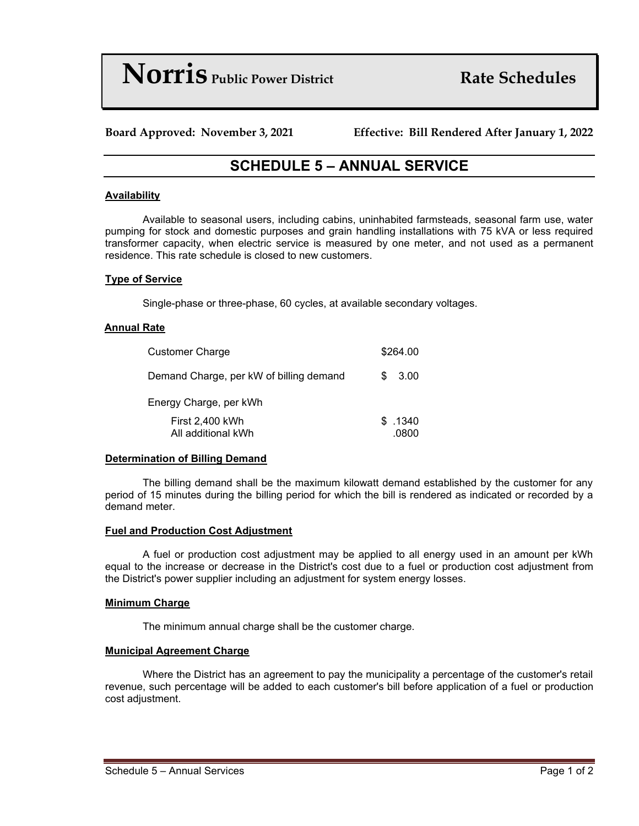**Norris** *Public Power District Rate Schedules* 

**Board Approved: November 3, 2021 Effective: Bill Rendered After January 1, 2022**

# **SCHEDULE 5 – ANNUAL SERVICE**

# **Availability**

Available to seasonal users, including cabins, uninhabited farmsteads, seasonal farm use, water pumping for stock and domestic purposes and grain handling installations with 75 kVA or less required transformer capacity, when electric service is measured by one meter, and not used as a permanent residence. This rate schedule is closed to new customers.

#### **Type of Service**

Single-phase or three-phase, 60 cycles, at available secondary voltages.

### **Annual Rate**

| <b>Customer Charge</b>                  | \$264.00          |
|-----------------------------------------|-------------------|
| Demand Charge, per kW of billing demand | 3.00<br>S.        |
| Energy Charge, per kWh                  |                   |
| First 2,400 kWh<br>All additional kWh   | \$ .1340<br>.0800 |

# **Determination of Billing Demand**

The billing demand shall be the maximum kilowatt demand established by the customer for any period of 15 minutes during the billing period for which the bill is rendered as indicated or recorded by a demand meter.

#### **Fuel and Production Cost Adjustment**

A fuel or production cost adjustment may be applied to all energy used in an amount per kWh equal to the increase or decrease in the District's cost due to a fuel or production cost adjustment from the District's power supplier including an adjustment for system energy losses.

#### **Minimum Charge**

The minimum annual charge shall be the customer charge.

#### **Municipal Agreement Charge**

Where the District has an agreement to pay the municipality a percentage of the customer's retail revenue, such percentage will be added to each customer's bill before application of a fuel or production cost adjustment.